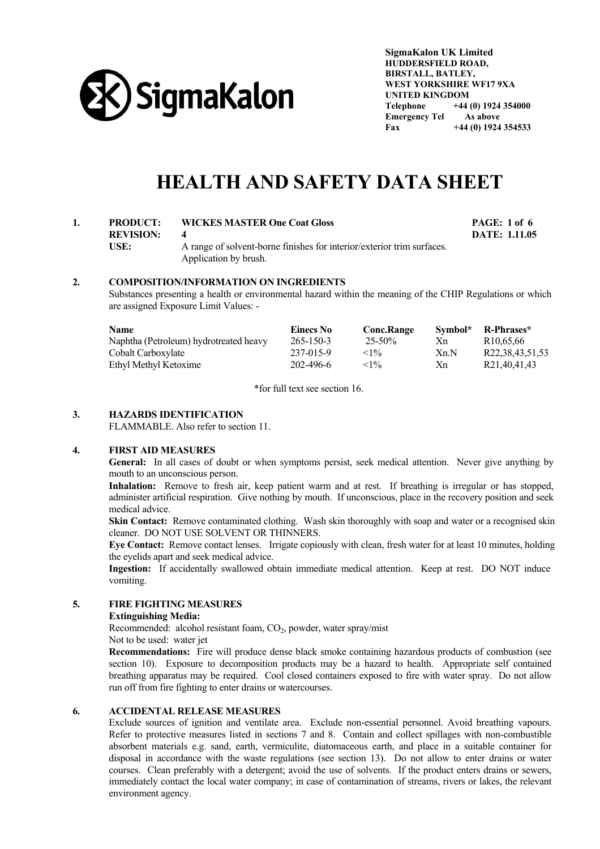

**SigmaKalon UK Limited HUDDERSFIELD ROAD, BIRSTALL, BATLEY, WEST YORKSHIRE WF17 9XA UNITED KINGDOM Telephone +44 (0) 1924 354000 Emergency Tel As above Fax +44 (0) 1924 354533** 

# **HEALTH AND SAFETY DATA SHEET**

# **1. PRODUCT: WICKES MASTER One Coat Gloss PAGE: 1 of 6 REVISION: 4 DATE: 1.11.05 USE:** A range of solvent-borne finishes for interior/exterior trim surfaces. Application by brush.

# **2. COMPOSITION/INFORMATION ON INGREDIENTS**

 Substances presenting a health or environmental hazard within the meaning of the CHIP Regulations or which are assigned Exposure Limit Values: -

| Name                                   | Einecs No       | <b>Conc.Range</b> | Symbol* | R-Phrases*            |
|----------------------------------------|-----------------|-------------------|---------|-----------------------|
| Naphtha (Petroleum) hydrotreated heavy | $265 - 150 - 3$ | $25 - 50\%$       | Xn      | R <sub>10.65.66</sub> |
| Cobalt Carboxylate                     | 237-015-9       | $<1\%$            | Xn.N    | R22,38,43,51,53       |
| Ethyl Methyl Ketoxime                  | 202-496-6       | $<1\%$            | Xn      | R21,40,41,43          |

\*for full text see section 16.

# **3. HAZARDS IDENTIFICATION**

FLAMMABLE. Also refer to section 11.

## **4. FIRST AID MEASURES**

 **General:** In all cases of doubt or when symptoms persist, seek medical attention. Never give anything by mouth to an unconscious person.

 **Inhalation:** Remove to fresh air, keep patient warm and at rest. If breathing is irregular or has stopped, administer artificial respiration. Give nothing by mouth. If unconscious, place in the recovery position and seek medical advice.

**Skin Contact:** Remove contaminated clothing. Wash skin thoroughly with soap and water or a recognised skin cleaner. DO NOT USE SOLVENT OR THINNERS.

 **Eye Contact:** Remove contact lenses. Irrigate copiously with clean, fresh water for at least 10 minutes, holding the eyelids apart and seek medical advice.

 **Ingestion:** If accidentally swallowed obtain immediate medical attention. Keep at rest. DO NOT induce vomiting.

# **5. FIRE FIGHTING MEASURES**

#### **Extinguishing Media:**

Recommended: alcohol resistant foam,  $CO<sub>2</sub>$ , powder, water spray/mist

Not to be used: water jet

 **Recommendations:** Fire will produce dense black smoke containing hazardous products of combustion (see section 10). Exposure to decomposition products may be a hazard to health. Appropriate self contained breathing apparatus may be required. Cool closed containers exposed to fire with water spray. Do not allow run off from fire fighting to enter drains or watercourses.

# **6. ACCIDENTAL RELEASE MEASURES**

 Exclude sources of ignition and ventilate area. Exclude non-essential personnel. Avoid breathing vapours. Refer to protective measures listed in sections 7 and 8. Contain and collect spillages with non-combustible absorbent materials e.g. sand, earth, vermiculite, diatomaceous earth, and place in a suitable container for disposal in accordance with the waste regulations (see section 13). Do not allow to enter drains or water courses. Clean preferably with a detergent; avoid the use of solvents. If the product enters drains or sewers, immediately contact the local water company; in case of contamination of streams, rivers or lakes, the relevant environment agency.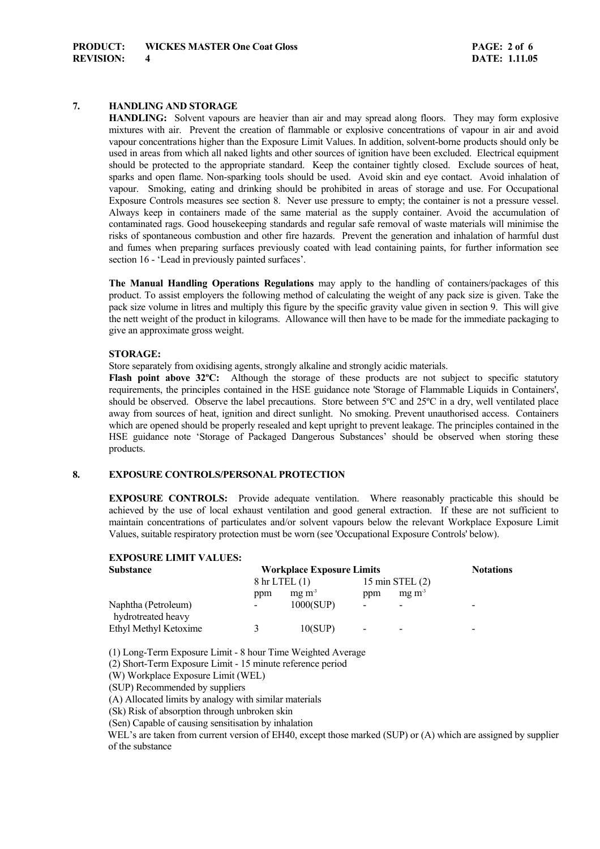# **7. HANDLING AND STORAGE**

 **HANDLING:** Solvent vapours are heavier than air and may spread along floors. They may form explosive mixtures with air. Prevent the creation of flammable or explosive concentrations of vapour in air and avoid vapour concentrations higher than the Exposure Limit Values. In addition, solvent-borne products should only be used in areas from which all naked lights and other sources of ignition have been excluded. Electrical equipment should be protected to the appropriate standard. Keep the container tightly closed. Exclude sources of heat, sparks and open flame. Non-sparking tools should be used. Avoid skin and eye contact. Avoid inhalation of vapour. Smoking, eating and drinking should be prohibited in areas of storage and use. For Occupational Exposure Controls measures see section 8. Never use pressure to empty; the container is not a pressure vessel. Always keep in containers made of the same material as the supply container. Avoid the accumulation of contaminated rags. Good housekeeping standards and regular safe removal of waste materials will minimise the risks of spontaneous combustion and other fire hazards. Prevent the generation and inhalation of harmful dust and fumes when preparing surfaces previously coated with lead containing paints, for further information see section 16 - 'Lead in previously painted surfaces'.

**The Manual Handling Operations Regulations** may apply to the handling of containers/packages of this product. To assist employers the following method of calculating the weight of any pack size is given. Take the pack size volume in litres and multiply this figure by the specific gravity value given in section 9. This will give the nett weight of the product in kilograms. Allowance will then have to be made for the immediate packaging to give an approximate gross weight.

#### **STORAGE:**

Store separately from oxidising agents, strongly alkaline and strongly acidic materials.

**Flash point above 32°C:** Although the storage of these products are not subject to specific statutory requirements, the principles contained in the HSE guidance note 'Storage of Flammable Liquids in Containers', should be observed. Observe the label precautions. Store between 5ºC and 25ºC in a dry, well ventilated place away from sources of heat, ignition and direct sunlight. No smoking. Prevent unauthorised access. Containers which are opened should be properly resealed and kept upright to prevent leakage. The principles contained in the HSE guidance note 'Storage of Packaged Dangerous Substances' should be observed when storing these products.

## **8. EXPOSURE CONTROLS/PERSONAL PROTECTION**

 **EXPOSURE CONTROLS:** Provide adequate ventilation. Where reasonably practicable this should be achieved by the use of local exhaust ventilation and good general extraction. If these are not sufficient to maintain concentrations of particulates and/or solvent vapours below the relevant Workplace Exposure Limit Values, suitable respiratory protection must be worn (see 'Occupational Exposure Controls' below).

# **EXPOSURE LIMIT VALUES:**

| <b>Substance</b>                          | <b>Workplace Exposure Limits</b> |                           |                |                   | <b>Notations</b> |
|-------------------------------------------|----------------------------------|---------------------------|----------------|-------------------|------------------|
|                                           |                                  | $8 \text{ hr}$ LTEL $(1)$ |                | 15 min STEL $(2)$ |                  |
|                                           | ppm                              | $mg \, m3$                | ppm            | $mg \, m3$        |                  |
| Naphtha (Petroleum)<br>hydrotreated heavy | -                                | 1000(SUP)                 | $\overline{ }$ |                   | ۰                |
| Ethyl Methyl Ketoxime                     |                                  | 10(SUP)                   | $\overline{ }$ |                   | -                |

(1) Long-Term Exposure Limit - 8 hour Time Weighted Average

(2) Short-Term Exposure Limit - 15 minute reference period

(W) Workplace Exposure Limit (WEL)

(SUP) Recommended by suppliers

(A) Allocated limits by analogy with similar materials

(Sk) Risk of absorption through unbroken skin

(Sen) Capable of causing sensitisation by inhalation

WEL's are taken from current version of EH40, except those marked (SUP) or (A) which are assigned by supplier of the substance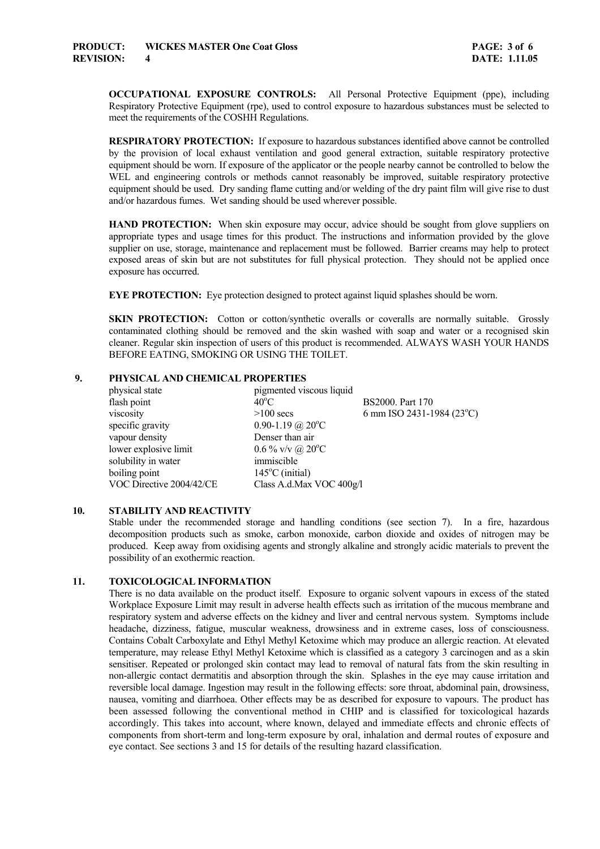**OCCUPATIONAL EXPOSURE CONTROLS:** All Personal Protective Equipment (ppe), including Respiratory Protective Equipment (rpe), used to control exposure to hazardous substances must be selected to meet the requirements of the COSHH Regulations.

 **RESPIRATORY PROTECTION:** If exposure to hazardous substances identified above cannot be controlled by the provision of local exhaust ventilation and good general extraction, suitable respiratory protective equipment should be worn. If exposure of the applicator or the people nearby cannot be controlled to below the WEL and engineering controls or methods cannot reasonably be improved, suitable respiratory protective equipment should be used. Dry sanding flame cutting and/or welding of the dry paint film will give rise to dust and/or hazardous fumes. Wet sanding should be used wherever possible.

HAND PROTECTION: When skin exposure may occur, advice should be sought from glove suppliers on appropriate types and usage times for this product. The instructions and information provided by the glove supplier on use, storage, maintenance and replacement must be followed. Barrier creams may help to protect exposed areas of skin but are not substitutes for full physical protection. They should not be applied once exposure has occurred.

**EYE PROTECTION:** Eye protection designed to protect against liquid splashes should be worn.

**SKIN PROTECTION:** Cotton or cotton/synthetic overalls or coveralls are normally suitable. Grossly contaminated clothing should be removed and the skin washed with soap and water or a recognised skin cleaner. Regular skin inspection of users of this product is recommended. ALWAYS WASH YOUR HANDS BEFORE EATING, SMOKING OR USING THE TOILET.

#### **9. PHYSICAL AND CHEMICAL PROPERTIES**

| pigmented viscous liquid     |                           |
|------------------------------|---------------------------|
| $40^{\circ}$ C               | BS2000. Part 170          |
| $>100$ secs                  | 6 mm ISO 2431-1984 (23°C) |
| 0.90-1.19 @ $20^{\circ}$ C   |                           |
| Denser than air              |                           |
| $0.6\%$ v/v @ $20^{\circ}$ C |                           |
| immiscible                   |                           |
| $145^{\circ}$ C (initial)    |                           |
| Class A.d.Max VOC 400g/l     |                           |
|                              |                           |

#### **10. STABILITY AND REACTIVITY**

 Stable under the recommended storage and handling conditions (see section 7). In a fire, hazardous decomposition products such as smoke, carbon monoxide, carbon dioxide and oxides of nitrogen may be produced. Keep away from oxidising agents and strongly alkaline and strongly acidic materials to prevent the possibility of an exothermic reaction.

# **11. TOXICOLOGICAL INFORMATION**

 There is no data available on the product itself. Exposure to organic solvent vapours in excess of the stated Workplace Exposure Limit may result in adverse health effects such as irritation of the mucous membrane and respiratory system and adverse effects on the kidney and liver and central nervous system. Symptoms include headache, dizziness, fatigue, muscular weakness, drowsiness and in extreme cases, loss of consciousness. Contains Cobalt Carboxylate and Ethyl Methyl Ketoxime which may produce an allergic reaction. At elevated temperature, may release Ethyl Methyl Ketoxime which is classified as a category 3 carcinogen and as a skin sensitiser. Repeated or prolonged skin contact may lead to removal of natural fats from the skin resulting in non-allergic contact dermatitis and absorption through the skin. Splashes in the eye may cause irritation and reversible local damage. Ingestion may result in the following effects: sore throat, abdominal pain, drowsiness, nausea, vomiting and diarrhoea. Other effects may be as described for exposure to vapours. The product has been assessed following the conventional method in CHIP and is classified for toxicological hazards accordingly. This takes into account, where known, delayed and immediate effects and chronic effects of components from short-term and long-term exposure by oral, inhalation and dermal routes of exposure and eye contact. See sections 3 and 15 for details of the resulting hazard classification.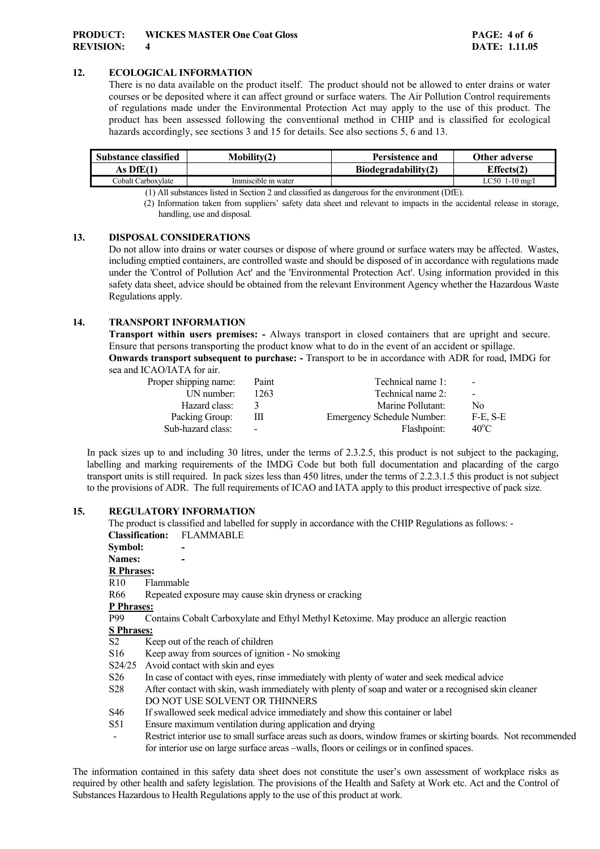# **12. ECOLOGICAL INFORMATION**

There is no data available on the product itself. The product should not be allowed to enter drains or water courses or be deposited where it can affect ground or surface waters. The Air Pollution Control requirements of regulations made under the Environmental Protection Act may apply to the use of this product. The product has been assessed following the conventional method in CHIP and is classified for ecological hazards accordingly, see sections 3 and 15 for details. See also sections 5, 6 and 13.

| Substance classified | $M$ obility $(2)$   | Persistence and     | Other adverse    |
|----------------------|---------------------|---------------------|------------------|
| As DfE(1)            |                     | Biodegradability(2) | Effects(2)       |
| Cobalt Carboxvlate   | Immiscible in water |                     | $LC50$ 1-10 mg/l |

(1) All substances listed in Section 2 and classified as dangerous for the environment (DfE).

(2) Information taken from suppliers' safety data sheet and relevant to impacts in the accidental release in storage, handling, use and disposal.

## **13. DISPOSAL CONSIDERATIONS**

 Do not allow into drains or water courses or dispose of where ground or surface waters may be affected. Wastes, including emptied containers, are controlled waste and should be disposed of in accordance with regulations made under the 'Control of Pollution Act' and the 'Environmental Protection Act'. Using information provided in this safety data sheet, advice should be obtained from the relevant Environment Agency whether the Hazardous Waste Regulations apply.

## **14. TRANSPORT INFORMATION**

**Transport within users premises: -** Always transport in closed containers that are upright and secure. Ensure that persons transporting the product know what to do in the event of an accident or spillage. **Onwards transport subsequent to purchase: -** Transport to be in accordance with ADR for road, IMDG for

sea and ICAO/IATA for air.

| Proper shipping name: | Paint                    | Technical name 1:          | $\sim$         |
|-----------------------|--------------------------|----------------------------|----------------|
| UN number:            | 1263                     | Technical name 2:          | $\sim$         |
| Hazard class:         |                          | Marine Pollutant:          | No.            |
| Packing Group:        | Ш                        | Emergency Schedule Number: | F-E. S-E       |
| Sub-hazard class:     | $\overline{\phantom{a}}$ | Flashpoint:                | $40^{\circ}$ C |

In pack sizes up to and including 30 litres, under the terms of 2.3.2.5, this product is not subject to the packaging, labelling and marking requirements of the IMDG Code but both full documentation and placarding of the cargo transport units is still required. In pack sizes less than 450 litres, under the terms of 2.2.3.1.5 this product is not subject to the provisions of ADR. The full requirements of ICAO and IATA apply to this product irrespective of pack size.

# **15. REGULATORY INFORMATION**

The product is classified and labelled for supply in accordance with the CHIP Regulations as follows: - **Classification:** FLAMMABLE **Symbol:** Names:  **R Phrases:** R10 Flammable R66 Repeated exposure may cause skin dryness or cracking **P Phrases:** P99 Contains Cobalt Carboxylate and Ethyl Methyl Ketoxime. May produce an allergic reaction **S Phrases:**  $\overline{S2}$  Keep out of the reach of children S16 Keep away from sources of ignition - No smoking S24/25 Avoid contact with skin and eyes S26 In case of contact with eyes, rinse immediately with plenty of water and seek medical advice S28 After contact with skin, wash immediately with plenty of soap and water or a recognised skin cleaner DO NOT USE SOLVENT OR THINNERS S46 If swallowed seek medical advice immediately and show this container or label S51 Ensure maximum ventilation during application and drying Restrict interior use to small surface areas such as doors, window frames or skirting boards. Not recommended for interior use on large surface areas –walls, floors or ceilings or in confined spaces.

The information contained in this safety data sheet does not constitute the user's own assessment of workplace risks as required by other health and safety legislation. The provisions of the Health and Safety at Work etc. Act and the Control of Substances Hazardous to Health Regulations apply to the use of this product at work.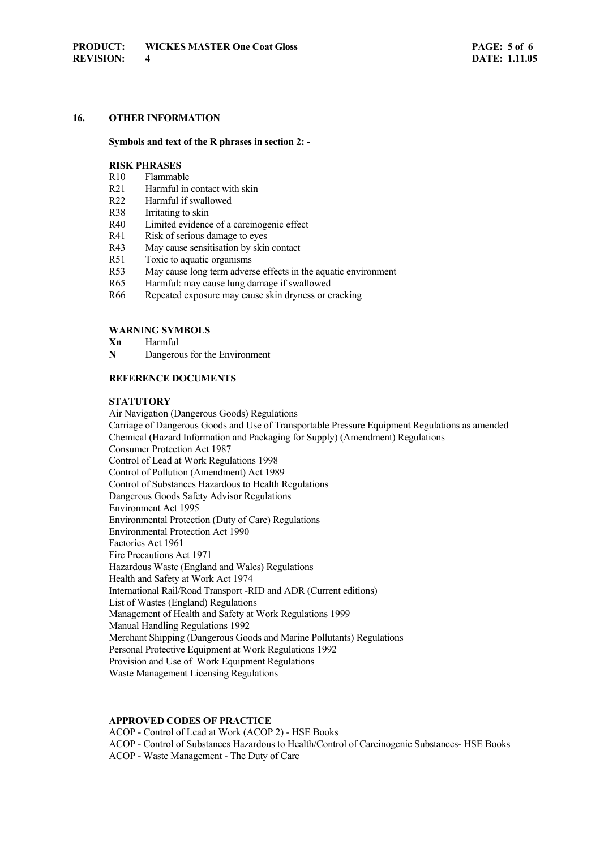# **16. OTHER INFORMATION**

#### **Symbols and text of the R phrases in section 2: -**

## **RISK PHRASES**

- R10 Flammable
- R21 Harmful in contact with skin
- R22 Harmful if swallowed
- R38 Irritating to skin
- R40 Limited evidence of a carcinogenic effect
- R41 Risk of serious damage to eyes
- R43 May cause sensitisation by skin contact
- R51 Toxic to aquatic organisms
- R53 May cause long term adverse effects in the aquatic environment
- R65 Harmful: may cause lung damage if swallowed
- R66 Repeated exposure may cause skin dryness or cracking

#### **WARNING SYMBOLS**

- **Xn** Harmful
- **N** Dangerous for the Environment

#### **REFERENCE DOCUMENTS**

## **STATUTORY**

 Air Navigation (Dangerous Goods) Regulations Carriage of Dangerous Goods and Use of Transportable Pressure Equipment Regulations as amended Chemical (Hazard Information and Packaging for Supply) (Amendment) Regulations Consumer Protection Act 1987 Control of Lead at Work Regulations 1998 Control of Pollution (Amendment) Act 1989 Control of Substances Hazardous to Health Regulations Dangerous Goods Safety Advisor Regulations Environment Act 1995 Environmental Protection (Duty of Care) Regulations Environmental Protection Act 1990 Factories Act 1961 Fire Precautions Act 1971 Hazardous Waste (England and Wales) Regulations Health and Safety at Work Act 1974 International Rail/Road Transport -RID and ADR (Current editions) List of Wastes (England) Regulations Management of Health and Safety at Work Regulations 1999 Manual Handling Regulations 1992 Merchant Shipping (Dangerous Goods and Marine Pollutants) Regulations Personal Protective Equipment at Work Regulations 1992 Provision and Use of Work Equipment Regulations Waste Management Licensing Regulations

#### **APPROVED CODES OF PRACTICE**

 ACOP - Control of Lead at Work (ACOP 2) - HSE Books ACOP - Control of Substances Hazardous to Health/Control of Carcinogenic Substances- HSE Books ACOP - Waste Management - The Duty of Care